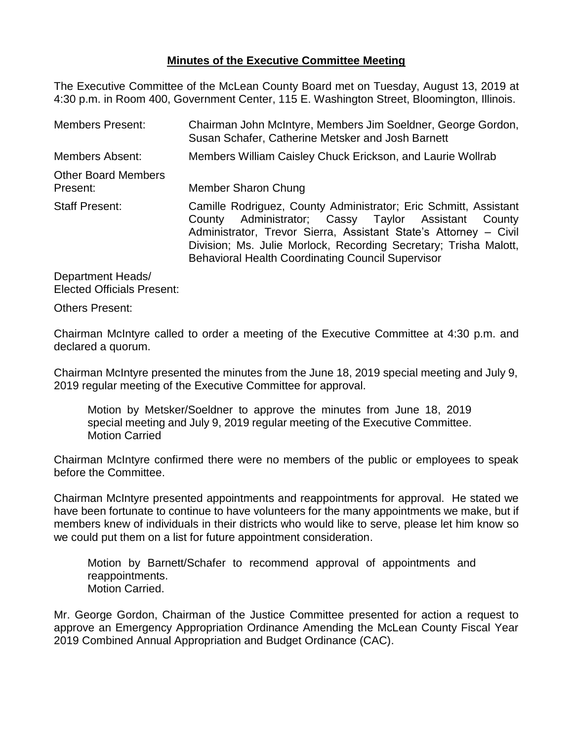## **Minutes of the Executive Committee Meeting**

The Executive Committee of the McLean County Board met on Tuesday, August 13, 2019 at 4:30 p.m. in Room 400, Government Center, 115 E. Washington Street, Bloomington, Illinois.

| <b>Members Present:</b>                | Chairman John McIntyre, Members Jim Soeldner, George Gordon,<br>Susan Schafer, Catherine Metsker and Josh Barnett                                                                                                                                                                                                           |  |  |
|----------------------------------------|-----------------------------------------------------------------------------------------------------------------------------------------------------------------------------------------------------------------------------------------------------------------------------------------------------------------------------|--|--|
| Members Absent:                        | Members William Caisley Chuck Erickson, and Laurie Wollrab                                                                                                                                                                                                                                                                  |  |  |
| <b>Other Board Members</b><br>Present: | Member Sharon Chung                                                                                                                                                                                                                                                                                                         |  |  |
| <b>Staff Present:</b>                  | Camille Rodriguez, County Administrator; Eric Schmitt, Assistant<br>County Administrator; Cassy Taylor Assistant County<br>Administrator, Trevor Sierra, Assistant State's Attorney – Civil<br>Division; Ms. Julie Morlock, Recording Secretary; Trisha Malott,<br><b>Behavioral Health Coordinating Council Supervisor</b> |  |  |
|                                        |                                                                                                                                                                                                                                                                                                                             |  |  |

Department Heads/ Elected Officials Present:

Others Present:

Chairman McIntyre called to order a meeting of the Executive Committee at 4:30 p.m. and declared a quorum.

Chairman McIntyre presented the minutes from the June 18, 2019 special meeting and July 9, 2019 regular meeting of the Executive Committee for approval.

Motion by Metsker/Soeldner to approve the minutes from June 18, 2019 special meeting and July 9, 2019 regular meeting of the Executive Committee. Motion Carried

Chairman McIntyre confirmed there were no members of the public or employees to speak before the Committee.

Chairman McIntyre presented appointments and reappointments for approval. He stated we have been fortunate to continue to have volunteers for the many appointments we make, but if members knew of individuals in their districts who would like to serve, please let him know so we could put them on a list for future appointment consideration.

Motion by Barnett/Schafer to recommend approval of appointments and reappointments. Motion Carried.

Mr. George Gordon, Chairman of the Justice Committee presented for action a request to approve an Emergency Appropriation Ordinance Amending the McLean County Fiscal Year 2019 Combined Annual Appropriation and Budget Ordinance (CAC).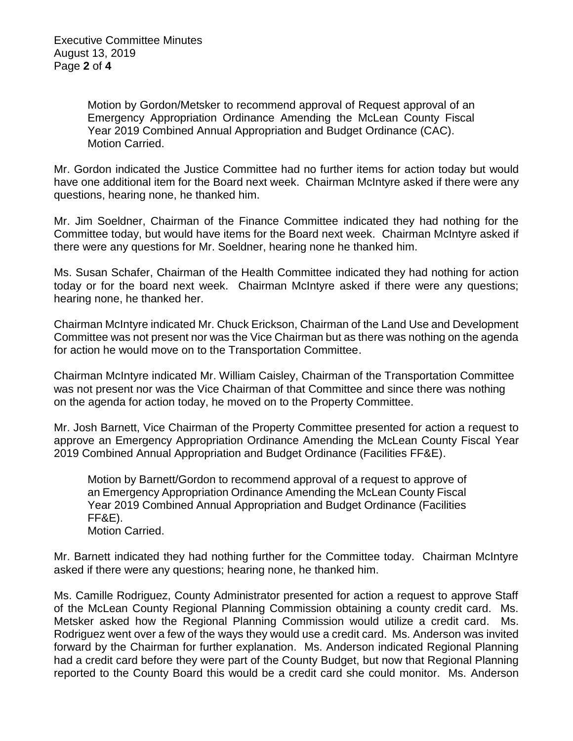Motion by Gordon/Metsker to recommend approval of Request approval of an Emergency Appropriation Ordinance Amending the McLean County Fiscal Year 2019 Combined Annual Appropriation and Budget Ordinance (CAC). Motion Carried.

Mr. Gordon indicated the Justice Committee had no further items for action today but would have one additional item for the Board next week. Chairman McIntyre asked if there were any questions, hearing none, he thanked him.

Mr. Jim Soeldner, Chairman of the Finance Committee indicated they had nothing for the Committee today, but would have items for the Board next week. Chairman McIntyre asked if there were any questions for Mr. Soeldner, hearing none he thanked him.

Ms. Susan Schafer, Chairman of the Health Committee indicated they had nothing for action today or for the board next week. Chairman McIntyre asked if there were any questions; hearing none, he thanked her.

Chairman McIntyre indicated Mr. Chuck Erickson, Chairman of the Land Use and Development Committee was not present nor was the Vice Chairman but as there was nothing on the agenda for action he would move on to the Transportation Committee.

Chairman McIntyre indicated Mr. William Caisley, Chairman of the Transportation Committee was not present nor was the Vice Chairman of that Committee and since there was nothing on the agenda for action today, he moved on to the Property Committee.

Mr. Josh Barnett, Vice Chairman of the Property Committee presented for action a request to approve an Emergency Appropriation Ordinance Amending the McLean County Fiscal Year 2019 Combined Annual Appropriation and Budget Ordinance (Facilities FF&E).

Motion by Barnett/Gordon to recommend approval of a request to approve of an Emergency Appropriation Ordinance Amending the McLean County Fiscal Year 2019 Combined Annual Appropriation and Budget Ordinance (Facilities FF&E). Motion Carried.

Mr. Barnett indicated they had nothing further for the Committee today. Chairman McIntyre asked if there were any questions; hearing none, he thanked him.

Ms. Camille Rodriguez, County Administrator presented for action a request to approve Staff of the McLean County Regional Planning Commission obtaining a county credit card. Ms. Metsker asked how the Regional Planning Commission would utilize a credit card. Ms. Rodriguez went over a few of the ways they would use a credit card. Ms. Anderson was invited forward by the Chairman for further explanation. Ms. Anderson indicated Regional Planning had a credit card before they were part of the County Budget, but now that Regional Planning reported to the County Board this would be a credit card she could monitor. Ms. Anderson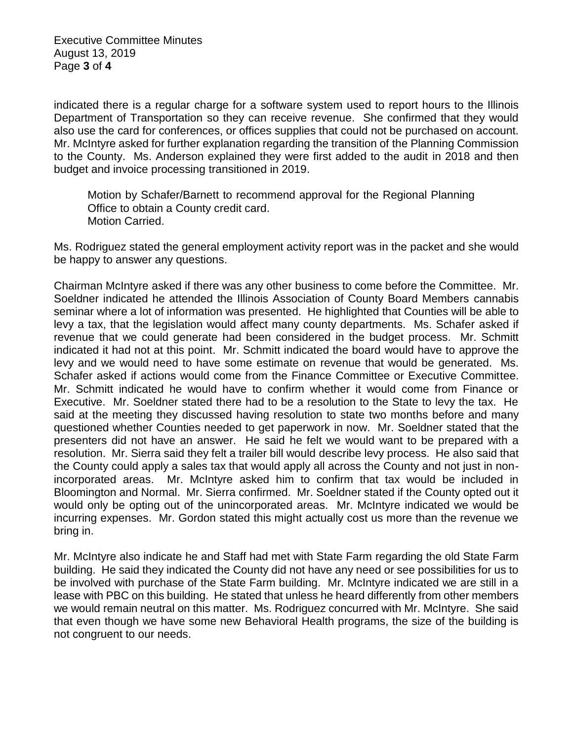Executive Committee Minutes August 13, 2019 Page **3** of **4**

indicated there is a regular charge for a software system used to report hours to the Illinois Department of Transportation so they can receive revenue. She confirmed that they would also use the card for conferences, or offices supplies that could not be purchased on account. Mr. McIntyre asked for further explanation regarding the transition of the Planning Commission to the County. Ms. Anderson explained they were first added to the audit in 2018 and then budget and invoice processing transitioned in 2019.

Motion by Schafer/Barnett to recommend approval for the Regional Planning Office to obtain a County credit card. Motion Carried.

Ms. Rodriguez stated the general employment activity report was in the packet and she would be happy to answer any questions.

Chairman McIntyre asked if there was any other business to come before the Committee. Mr. Soeldner indicated he attended the Illinois Association of County Board Members cannabis seminar where a lot of information was presented. He highlighted that Counties will be able to levy a tax, that the legislation would affect many county departments. Ms. Schafer asked if revenue that we could generate had been considered in the budget process. Mr. Schmitt indicated it had not at this point. Mr. Schmitt indicated the board would have to approve the levy and we would need to have some estimate on revenue that would be generated. Ms. Schafer asked if actions would come from the Finance Committee or Executive Committee. Mr. Schmitt indicated he would have to confirm whether it would come from Finance or Executive. Mr. Soeldner stated there had to be a resolution to the State to levy the tax. He said at the meeting they discussed having resolution to state two months before and many questioned whether Counties needed to get paperwork in now. Mr. Soeldner stated that the presenters did not have an answer. He said he felt we would want to be prepared with a resolution. Mr. Sierra said they felt a trailer bill would describe levy process. He also said that the County could apply a sales tax that would apply all across the County and not just in nonincorporated areas. Mr. McIntyre asked him to confirm that tax would be included in Bloomington and Normal. Mr. Sierra confirmed. Mr. Soeldner stated if the County opted out it would only be opting out of the unincorporated areas. Mr. McIntyre indicated we would be incurring expenses. Mr. Gordon stated this might actually cost us more than the revenue we bring in.

Mr. McIntyre also indicate he and Staff had met with State Farm regarding the old State Farm building. He said they indicated the County did not have any need or see possibilities for us to be involved with purchase of the State Farm building. Mr. McIntyre indicated we are still in a lease with PBC on this building. He stated that unless he heard differently from other members we would remain neutral on this matter. Ms. Rodriguez concurred with Mr. McIntyre. She said that even though we have some new Behavioral Health programs, the size of the building is not congruent to our needs.